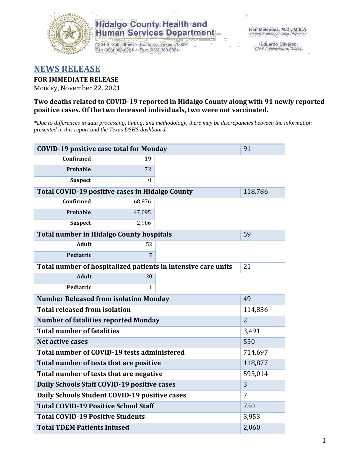

## **Hidalgo County Health and Human Services Department**

1304 S. 25th Street · Edinburg, Texas 78539 Tel: (956) 383-6221 · Fax: (956) 383-8864

**Eduardo Olivarez** Chief Administrative Officer

# **NEWS RELEASE**

## **FOR IMMEDIATE RELEASE**

Monday, November 22, 2021

### **Two deaths related to COVID-19 reported in Hidalgo County along with 91 newly reported positive cases. Of the two deceased individuals, two were not vaccinated.**

*\*Due to differences in data processing, timing, and methodology, there may be discrepancies between the information presented in this report and the Texas DSHS dashboard.*

| <b>COVID-19 positive case total for Monday</b>                | 91                                                     |     |         |  |  |
|---------------------------------------------------------------|--------------------------------------------------------|-----|---------|--|--|
| <b>Confirmed</b>                                              | 19                                                     |     |         |  |  |
| <b>Probable</b>                                               | 72                                                     |     |         |  |  |
| <b>Suspect</b>                                                | $\Omega$                                               |     |         |  |  |
|                                                               | <b>Total COVID-19 positive cases in Hidalgo County</b> |     | 118,786 |  |  |
| <b>Confirmed</b>                                              | 68,876                                                 |     |         |  |  |
| Probable                                                      | 47,095                                                 |     |         |  |  |
| <b>Suspect</b>                                                | 2,906                                                  |     |         |  |  |
|                                                               | <b>Total number in Hidalgo County hospitals</b>        |     | 59      |  |  |
| <b>Adult</b>                                                  | 52                                                     |     |         |  |  |
| Pediatric                                                     | 7                                                      |     |         |  |  |
| Total number of hospitalized patients in intensive care units | 21                                                     |     |         |  |  |
| <b>Adult</b>                                                  | 20                                                     |     |         |  |  |
| Pediatric                                                     | 1                                                      |     |         |  |  |
| <b>Number Released from isolation Monday</b>                  | 49                                                     |     |         |  |  |
| <b>Total released from isolation</b><br>114,836               |                                                        |     |         |  |  |
| <b>Number of fatalities reported Monday</b>                   | $\overline{2}$                                         |     |         |  |  |
| <b>Total number of fatalities</b>                             | 3,491                                                  |     |         |  |  |
| <b>Net active cases</b>                                       |                                                        | 550 |         |  |  |
| Total number of COVID-19 tests administered                   | 714,697                                                |     |         |  |  |
| Total number of tests that are positive                       | 118,877                                                |     |         |  |  |
| Total number of tests that are negative                       | 595,014                                                |     |         |  |  |
| Daily Schools Staff COVID-19 positive cases                   | 3                                                      |     |         |  |  |
| Daily Schools Student COVID-19 positive cases                 | 7                                                      |     |         |  |  |
| <b>Total COVID-19 Positive School Staff</b>                   | 750                                                    |     |         |  |  |
| <b>Total COVID-19 Positive Students</b>                       | 3,953                                                  |     |         |  |  |
| <b>Total TDEM Patients Infused</b>                            | 2,060                                                  |     |         |  |  |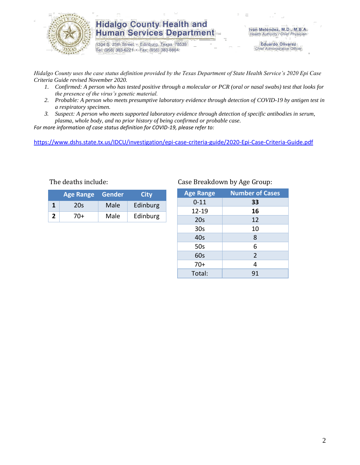

## **Hidalgo County Health and Human Services Department**

1304 S. 25th Street · Edinburg, Texas 78539 Tel: (956) 383-6221 · Fax: (956) 383-8864

**Eduardo Olivarez** Chief Administrative Officer

*Hidalgo County uses the case status definition provided by the Texas Department of State Health Service's 2020 Epi Case Criteria Guide revised November 2020.*

- *1. Confirmed: A person who has tested positive through a molecular or PCR (oral or nasal swabs) test that looks for the presence of the virus's genetic material.*
- *2. Probable: A person who meets presumptive laboratory evidence through detection of COVID-19 by antigen test in a respiratory specimen.*
- *3. Suspect: A person who meets supported laboratory evidence through detection of specific antibodies in serum, plasma, whole body, and no prior history of being confirmed or probable case.*

*For more information of case status definition for COVID-19, please refer to:*

<https://www.dshs.state.tx.us/IDCU/investigation/epi-case-criteria-guide/2020-Epi-Case-Criteria-Guide.pdf>

|                | <b>Age Range</b> | <u>l Gender</u> | City     |
|----------------|------------------|-----------------|----------|
|                | 20s              | Male            | Edinburg |
| $\overline{2}$ | 70+              | Male            | Edinburg |

### The deaths include: Case Breakdown by Age Group:

| <b>Age Range</b> | <b>Number of Cases</b> |
|------------------|------------------------|
| $0 - 11$         | 33                     |
| 12-19            | 16                     |
| 20s              | 12                     |
| 30 <sub>s</sub>  | 10                     |
| 40s              | 8                      |
| 50s              | 6                      |
| 60s              | $\overline{2}$         |
| $70+$            | 4                      |
| Total:           | 91                     |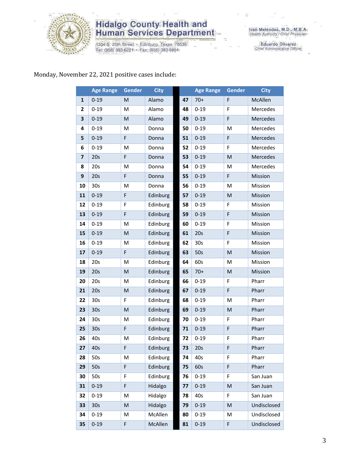

# **Hidalgo County Health and<br>Human Services Department**

1304 S. 25th Street • Edinburg, Texas 78539<br>Tel: (956) 383-6221 • Fax: (956) 383-8864

Iván Meléndez, M.D., M.B.A.<br>Health Authority / Chief Physician

Eduardo Olivarez<br>Chief Administrative Officer

## Monday, November 22, 2021 positive cases include:

|                         | <b>Age Range</b> | Gender | <b>City</b> |    | <b>Age Range</b> | <b>Gender</b> | <b>City</b> |
|-------------------------|------------------|--------|-------------|----|------------------|---------------|-------------|
| $\mathbf{1}$            | $0 - 19$         | M      | Alamo       | 47 | $70+$            | F             | McAllen     |
| 2                       | $0 - 19$         | M      | Alamo       | 48 | $0 - 19$         | $\mathsf F$   | Mercedes    |
| 3                       | $0 - 19$         | M      | Alamo       | 49 | $0 - 19$         | $\mathsf F$   | Mercedes    |
| 4                       | $0 - 19$         | M      | Donna       | 50 | $0 - 19$         | M             | Mercedes    |
| 5                       | $0 - 19$         | F      | Donna       | 51 | $0 - 19$         | $\mathsf F$   | Mercedes    |
| 6                       | $0 - 19$         | M      | Donna       | 52 | $0 - 19$         | F             | Mercedes    |
| $\overline{\mathbf{z}}$ | 20s              | F      | Donna       | 53 | $0 - 19$         | M             | Mercedes    |
| 8                       | 20s              | M      | Donna       | 54 | $0 - 19$         | M             | Mercedes    |
| 9                       | 20s              | F      | Donna       | 55 | $0 - 19$         | F             | Mission     |
| 10                      | 30 <sub>s</sub>  | M      | Donna       | 56 | $0 - 19$         | M             | Mission     |
| 11                      | $0 - 19$         | F      | Edinburg    | 57 | $0 - 19$         | M             | Mission     |
| 12                      | $0 - 19$         | F      | Edinburg    | 58 | $0 - 19$         | F             | Mission     |
| 13                      | $0 - 19$         | F      | Edinburg    | 59 | $0 - 19$         | $\mathsf F$   | Mission     |
| 14                      | $0 - 19$         | Μ      | Edinburg    | 60 | $0 - 19$         | F             | Mission     |
| 15                      | $0 - 19$         | M      | Edinburg    | 61 | 20s              | F             | Mission     |
| 16                      | $0 - 19$         | M      | Edinburg    | 62 | 30 <sub>s</sub>  | F             | Mission     |
| 17                      | $0 - 19$         | F      | Edinburg    | 63 | 50s              | M             | Mission     |
| 18                      | 20s              | M      | Edinburg    | 64 | 60s              | M             | Mission     |
| 19                      | 20s              | M      | Edinburg    | 65 | $70+$            | M             | Mission     |
| 20                      | 20s              | M      | Edinburg    | 66 | $0 - 19$         | F             | Pharr       |
| 21                      | 20s              | M      | Edinburg    | 67 | $0 - 19$         | $\mathsf F$   | Pharr       |
| 22                      | 30s              | F      | Edinburg    | 68 | $0 - 19$         | M             | Pharr       |
| 23                      | 30 <sub>s</sub>  | M      | Edinburg    | 69 | $0 - 19$         | M             | Pharr       |
| 24                      | 30 <sub>s</sub>  | M      | Edinburg    | 70 | $0 - 19$         | F             | Pharr       |
| 25                      | 30s              | F      | Edinburg    | 71 | $0 - 19$         | F             | Pharr       |
| 26                      | 40s              | M      | Edinburg    | 72 | $0 - 19$         | $\mathsf F$   | Pharr       |
| 27                      | 40s              | F      | Edinburg    | 73 | 20s              | F             | Pharr       |
| 28                      | 50s              | м      | Edinburg    | 74 | 40s              | F             | Pharr       |
| 29                      | 50s              | F      | Edinburg    | 75 | 60s              | $\mathsf F$   | Pharr       |
| 30                      | 50s              | F      | Edinburg    | 76 | $0 - 19$         | F             | San Juan    |
| 31                      | $0 - 19$         | F      | Hidalgo     | 77 | $0 - 19$         | M             | San Juan    |
| 32                      | $0 - 19$         | M      | Hidalgo     | 78 | 40s              | F             | San Juan    |
| 33                      | 30 <sub>s</sub>  | M      | Hidalgo     | 79 | $0 - 19$         | ${\sf M}$     | Undisclosed |
| 34                      | $0 - 19$         | Μ      | McAllen     | 80 | $0 - 19$         | M             | Undisclosed |
| 35                      | $0 - 19$         | F      | McAllen     | 81 | $0 - 19$         | F             | Undisclosed |